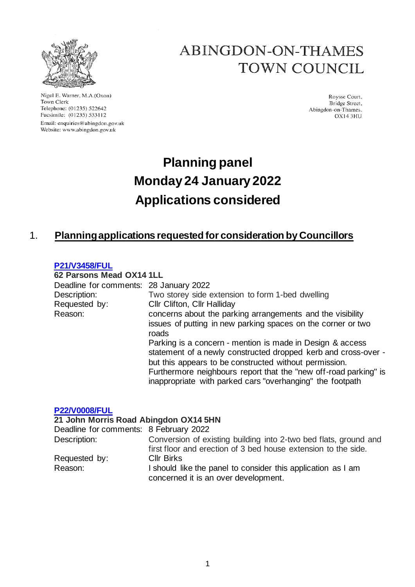

Nigel E. Warner, M.A.(Oxon) Town Clerk Telephone: (01235) 522642 Facsimile: (01235) 533112 Email: enquiries@abingdon.gov.uk Website: www.abingdon.gov.uk

## **ABINGDON-ON-THAMES TOWN COUNCIL**

Roysse Court, Bridge Street, Abingdon-on-Thames. OX14 3HU

# **Planning panel Monday 24 January 2022 Applications considered**

## 1. **Planning applications requested for consideration by Councillors**

#### **[P21/V3458/FUL](https://data.whitehorsedc.gov.uk/java/support/Main.jsp?MODULE=ApplicationDetails&REF=P21/V3458/FUL)**

**62 Parsons Mead OX14 1LL**

| Deadline for comments: 28 January 2022<br>Description:<br>Requested by:<br>Reason: | Two storey side extension to form 1-bed dwelling<br>Cllr Clifton, Cllr Halliday<br>concerns about the parking arrangements and the visibility<br>issues of putting in new parking spaces on the corner or two<br>roads<br>Parking is a concern - mention is made in Design & access<br>statement of a newly constructed dropped kerb and cross-over -<br>but this appears to be constructed without permission.<br>Furthermore neighbours report that the "new off-road parking" is |
|------------------------------------------------------------------------------------|-------------------------------------------------------------------------------------------------------------------------------------------------------------------------------------------------------------------------------------------------------------------------------------------------------------------------------------------------------------------------------------------------------------------------------------------------------------------------------------|
|                                                                                    | inappropriate with parked cars "overhanging" the footpath                                                                                                                                                                                                                                                                                                                                                                                                                           |

#### **[P22/V0008/FUL](https://data.whitehorsedc.gov.uk/java/support/Main.jsp?MODULE=ApplicationDetails&REF=P22/V0008/FUL)**

## **21 John Morris Road Abingdon OX14 5HN**

| Deadline for comments: 8 February 2022 |                                                                  |
|----------------------------------------|------------------------------------------------------------------|
| Description:                           | Conversion of existing building into 2-two bed flats, ground and |
|                                        | first floor and erection of 3 bed house extension to the side.   |
| Requested by:                          | <b>Cllr Birks</b>                                                |
| Reason:                                | I should like the panel to consider this application as I am     |
|                                        | concerned it is an over development.                             |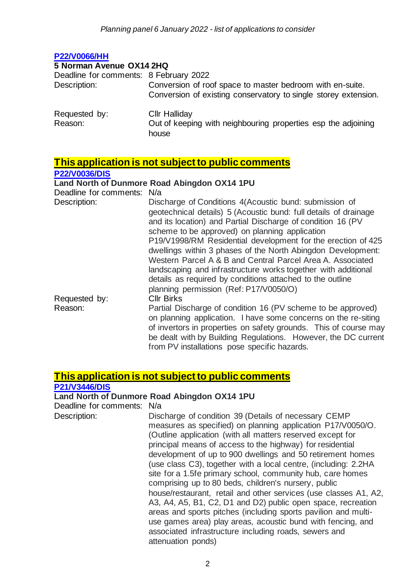### **[P22/V0066/HH](https://data.whitehorsedc.gov.uk/java/support/Main.jsp?MODULE=ApplicationDetails&REF=P22/V0066/HH)**

#### **5 Norman Avenue OX14 2HQ**

| Deadline for comments: 8 February 2022 | Conversion of roof space to master bedroom with en-suite.       |
|----------------------------------------|-----------------------------------------------------------------|
| Description:                           | Conversion of existing conservatory to single storey extension. |
| Requested by:                          | <b>CIIr Halliday</b>                                            |

Reason: Out of keeping with neighbouring properties esp the adjoining house

## **This application is not subject to public comments**

#### **[P22/V0036/DIS](https://data.whitehorsedc.gov.uk/java/support/Main.jsp?MODULE=ApplicationDetails&REF=P22/V0036/DIS)**

#### **Land North of Dunmore Road Abingdon OX14 1PU**

| Deadline for comments: N/a |                                                                  |
|----------------------------|------------------------------------------------------------------|
| Description:               | Discharge of Conditions 4(Acoustic bund: submission of           |
|                            | geotechnical details) 5 (Acoustic bund: full details of drainage |
|                            | and its location) and Partial Discharge of condition 16 (PV      |
|                            | scheme to be approved) on planning application                   |
|                            | P19/V1998/RM Residential development for the erection of 425     |
|                            | dwellings within 3 phases of the North Abingdon Development:     |
|                            | Western Parcel A & B and Central Parcel Area A. Associated       |
|                            | landscaping and infrastructure works together with additional    |
|                            | details as required by conditions attached to the outline        |
|                            | planning permission (Ref: P17/V0050/O)                           |
| Requested by:              | <b>Cllr Birks</b>                                                |
| Reason:                    | Partial Discharge of condition 16 (PV scheme to be approved)     |
|                            | on planning application. I have some concerns on the re-siting   |
|                            | of invertors in properties on safety grounds. This of course may |
|                            | be dealt with by Building Regulations. However, the DC current   |
|                            | from PV installations pose specific hazards.                     |

## **This application is not subject to public comments**

**[P21/V3446/DIS](https://data.whitehorsedc.gov.uk/java/support/Main.jsp?MODULE=ApplicationDetails&REF=P21/V3446/DIS)**

#### **Land North of Dunmore Road Abingdon OX14 1PU**

Deadline for comments: N/a

Description: Discharge of condition 39 (Details of necessary CEMP measures as specified) on planning application P17/V0050/O. (Outline application (with all matters reserved except for principal means of access to the highway) for residential development of up to 900 dwellings and 50 retirement homes (use class C3), together with a local centre, (including: 2.2HA site for a 1.5fe primary school, community hub, care homes comprising up to 80 beds, children's nursery, public house/restaurant, retail and other services (use classes A1, A2, A3, A4, A5, B1, C2, D1 and D2) public open space, recreation areas and sports pitches (including sports pavilion and multiuse games area) play areas, acoustic bund with fencing, and associated infrastructure including roads, sewers and attenuation ponds)